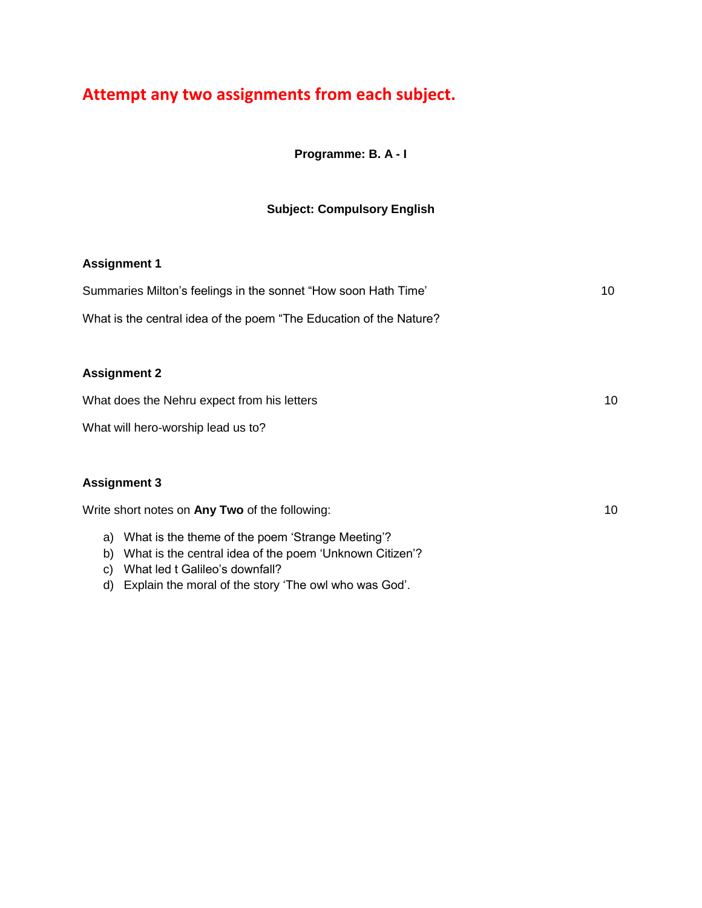# **Attempt any two assignments from each subject.**

**Programme: B. A - I**

# **Subject: Compulsory English**

# **Assignment 1**

| Summaries Milton's feelings in the sonnet "How soon Hath Time"     | 10 |
|--------------------------------------------------------------------|----|
| What is the central idea of the poem "The Education of the Nature? |    |
|                                                                    |    |
| <b>Assignment 2</b>                                                |    |
| What does the Nehru expect from his letters                        | 10 |
| What will hero-worship lead us to?                                 |    |
|                                                                    |    |
| <b>Assignment 3</b>                                                |    |

- a) What is the theme of the poem 'Strange Meeting'?
- b) What is the central idea of the poem 'Unknown Citizen'?
- c) What led t Galileo's downfall?
- d) Explain the moral of the story 'The owl who was God'.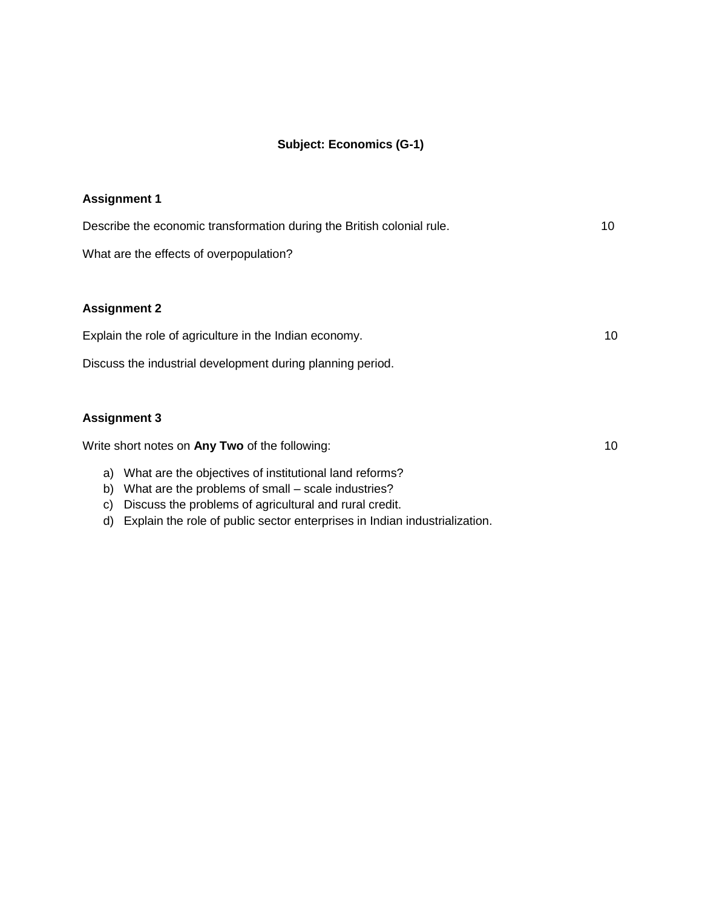# **Subject: Economics (G-1)**

| <b>Assignment 1</b>                                                    |    |
|------------------------------------------------------------------------|----|
| Describe the economic transformation during the British colonial rule. | 10 |
| What are the effects of overpopulation?                                |    |
|                                                                        |    |
| <b>Assignment 2</b>                                                    |    |
| Explain the role of agriculture in the Indian economy.                 | 10 |
| Discuss the industrial development during planning period.             |    |
|                                                                        |    |
| <b>Assignment 3</b>                                                    |    |
| Write short notes on Any Two of the following:                         | 10 |
| a) What are the objectives of institutional land reforms?              |    |
| What are the problems of small – scale industries?<br>b)               |    |
| Discuss the problems of agricultural and rural credit.<br>C)           |    |

d) Explain the role of public sector enterprises in Indian industrialization.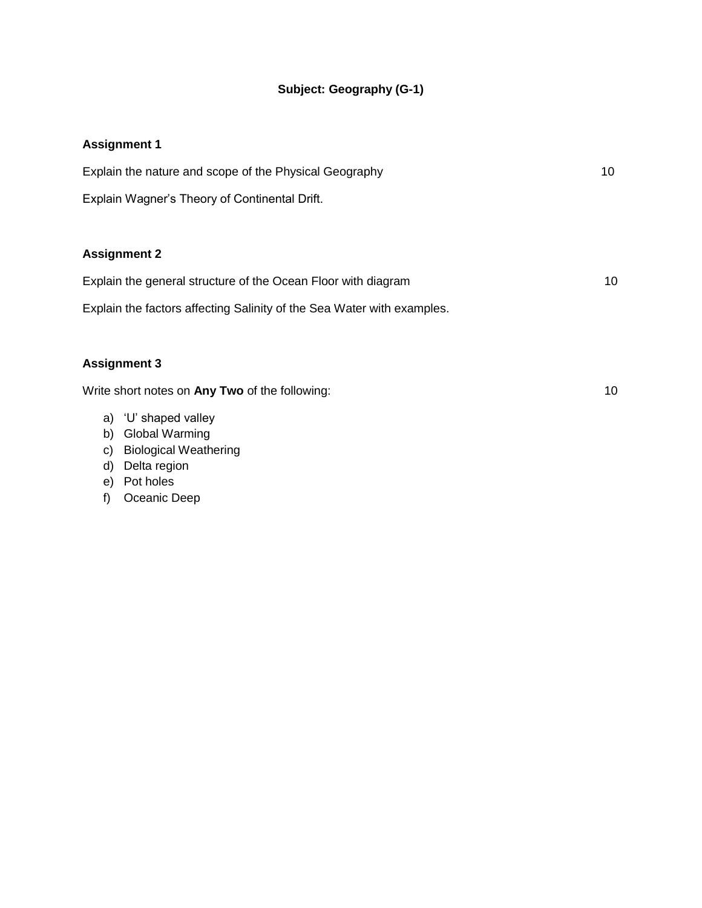# **Subject: Geography (G-1)**

### **Assignment 1**

| Explain the nature and scope of the Physical Geography                 | 10 |
|------------------------------------------------------------------------|----|
| Explain Wagner's Theory of Continental Drift.                          |    |
| <b>Assignment 2</b>                                                    |    |
| Explain the general structure of the Ocean Floor with diagram          | 10 |
| Explain the factors affecting Salinity of the Sea Water with examples. |    |

# **Assignment 3**

- a) 'U' shaped valley
- b) Global Warming
- c) Biological Weathering
- d) Delta region
- e) Pot holes
- f) Oceanic Deep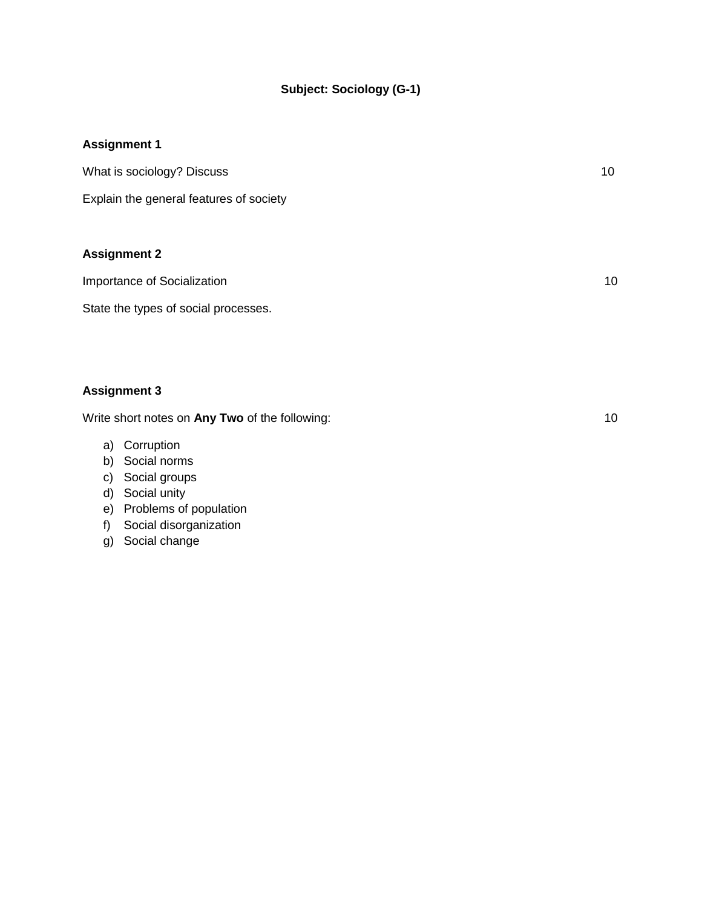# **Subject: Sociology (G-1)**

# **Assignment 1**

| What is sociology? Discuss              | 10 |
|-----------------------------------------|----|
| Explain the general features of society |    |
| <b>Assignment 2</b>                     |    |
| Importance of Socialization             | 10 |

State the types of social processes.

#### **Assignment 3**

- a) Corruption
- b) Social norms
- c) Social groups
- d) Social unity
- e) Problems of population
- f) Social disorganization
- g) Social change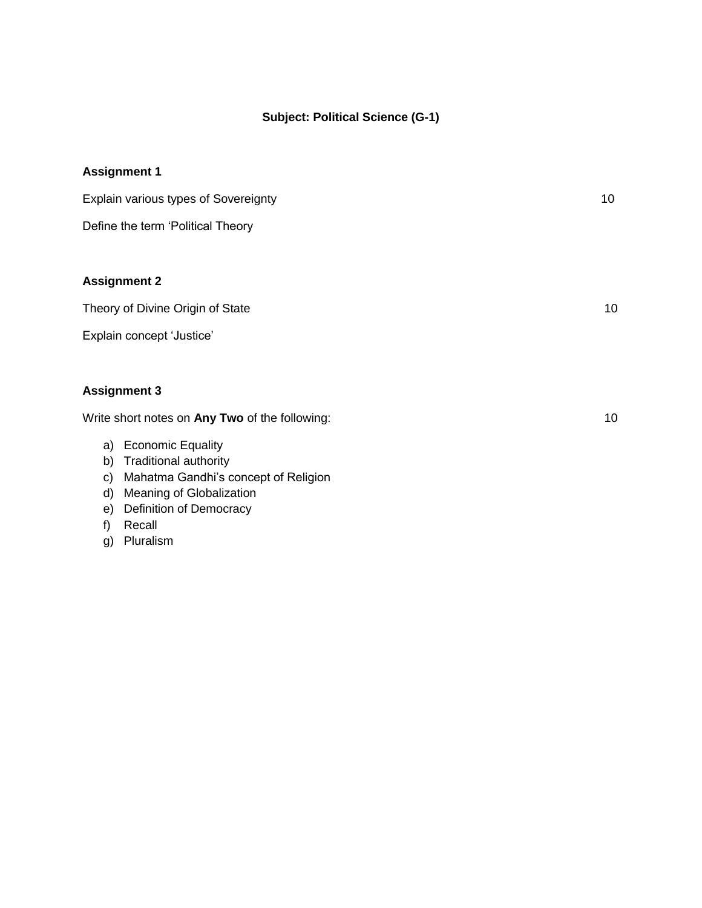#### **Subject: Political Science (G-1)**

# **Assignment 1** Explain various types of Sovereignty 10 Define the term 'Political Theory **Assignment 2** Theory of Divine Origin of State 10 and 10 and 10 and 10 and 10 and 10 and 10 and 10 and 10 and 10 and 10 and 10 and 10 and 10 and 10 and 10 and 10 and 10 and 10 and 10 and 10 and 10 and 10 and 10 and 10 and 10 and 10 and Explain concept 'Justice'

#### **Assignment 3**

- a) Economic Equality
- b) Traditional authority
- c) Mahatma Gandhi's concept of Religion
- d) Meaning of Globalization
- e) Definition of Democracy
- f) Recall
- g) Pluralism